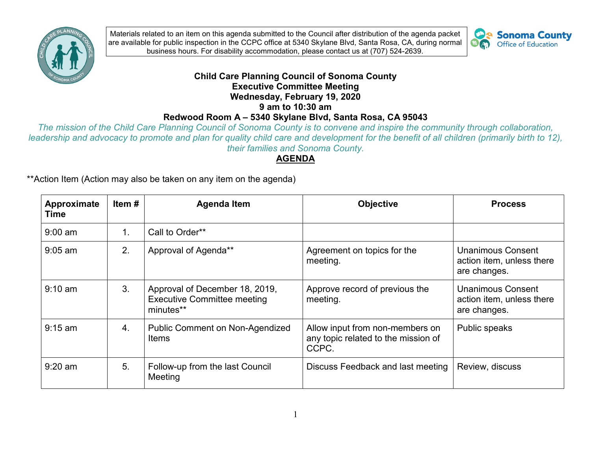

we are the passe of Passe in the control of Contract of Contract of Contract of Disability accommodation, please contact us at (707) 524-2639. Materials related to an item on this agenda submitted to the Council after distribution of the agenda packet are available for public inspection in the CCPC office at 5340 Skylane Blvd, Santa Rosa, CA, during normal



## **Child Care Planning Council of Sonoma County Executive Committee Meeting Wednesday, February 19, 2020 9 am to 10:30 am Redwood Room A – 5340 Skylane Blvd, Santa Rosa, CA 95043**

*The mission of the Child Care Planning Council of Sonoma County is to convene and inspire the community through collaboration, leadership and advocacy to promote and plan for quality child care and development for the benefit of all children (primarily birth to 12), their families and Sonoma County.* 

## **AGENDA**

\*\*Action Item (Action may also be taken on any item on the agenda)

| Approximate<br>Time | Item $#$       | <b>Agenda Item</b>                                                                | <b>Objective</b>                                                                | <b>Process</b>                                                        |
|---------------------|----------------|-----------------------------------------------------------------------------------|---------------------------------------------------------------------------------|-----------------------------------------------------------------------|
| $9:00$ am           | $\mathbf{1}$ . | Call to Order**                                                                   |                                                                                 |                                                                       |
| $9:05$ am           | 2.             | Approval of Agenda**                                                              | Agreement on topics for the<br>meeting.                                         | <b>Unanimous Consent</b><br>action item, unless there<br>are changes. |
| $9:10 \text{ am}$   | 3.             | Approval of December 18, 2019,<br><b>Executive Committee meeting</b><br>minutes** | Approve record of previous the<br>meeting.                                      | <b>Unanimous Consent</b><br>action item, unless there<br>are changes. |
| $9:15$ am           | 4.             | <b>Public Comment on Non-Agendized</b><br>Items                                   | Allow input from non-members on<br>any topic related to the mission of<br>CCPC. | Public speaks                                                         |
| $9:20$ am           | 5.             | Follow-up from the last Council<br>Meeting                                        | Discuss Feedback and last meeting                                               | Review, discuss                                                       |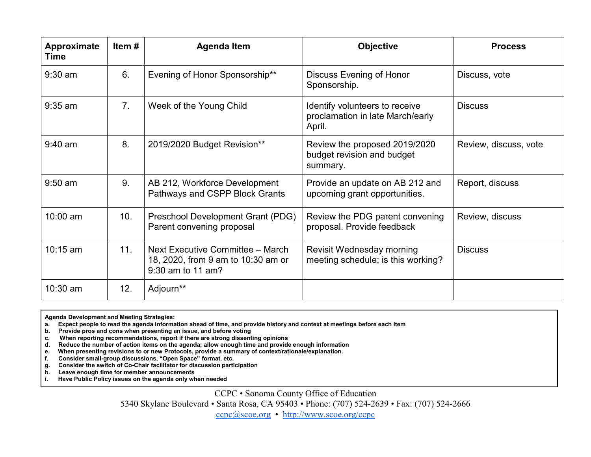| Approximate<br><b>Time</b> | Item # | <b>Agenda Item</b>                                                                          | <b>Objective</b>                                                             | <b>Process</b>        |
|----------------------------|--------|---------------------------------------------------------------------------------------------|------------------------------------------------------------------------------|-----------------------|
| $9:30$ am                  | 6.     | Evening of Honor Sponsorship**                                                              | <b>Discuss Evening of Honor</b><br>Sponsorship.                              | Discuss, vote         |
| $9:35$ am                  | 7.     | Week of the Young Child                                                                     | Identify volunteers to receive<br>proclamation in late March/early<br>April. | <b>Discuss</b>        |
| $9:40$ am                  | 8.     | 2019/2020 Budget Revision**                                                                 | Review the proposed 2019/2020<br>budget revision and budget<br>summary.      | Review, discuss, vote |
| $9:50$ am                  | 9.     | AB 212, Workforce Development<br>Pathways and CSPP Block Grants                             | Provide an update on AB 212 and<br>upcoming grant opportunities.             | Report, discuss       |
| 10:00 am                   | 10.    | Preschool Development Grant (PDG)<br>Parent convening proposal                              | Review the PDG parent convening<br>proposal. Provide feedback                | Review, discuss       |
| $10:15$ am                 | 11.    | Next Executive Committee - March<br>18, 2020, from 9 am to 10:30 am or<br>9:30 am to 11 am? | Revisit Wednesday morning<br>meeting schedule; is this working?              | <b>Discuss</b>        |
| $10:30$ am                 | 12.    | Adjourn**                                                                                   |                                                                              |                       |

**Agenda Development and Meeting Strategies:** 

 **a. Expect people to read the agenda information ahead of time, and provide history and context at meetings before each item** 

 **b. Provide pros and cons when presenting an issue, and before voting** 

 **c. When reporting recommendations, report if there are strong dissenting opinions** 

 **d. Reduce the number of action items on the agenda; allow enough time and provide enough information** 

 When presenting revisions to or new Protocols, provide a summary of context/rationale/explanation.

**f. Consider small-group discussions, "Open Space" format, etc.** 

 **g. Consider the switch of Co-Chair facilitator for discussion participation** 

 $\tilde{h}$ . **h. Leave enough time for member announcements** 

**i. Have Public Policy issues on the agenda only when needed** 

CCPC • Sonoma County Office of Education

5340 Skylane Boulevard • Santa Rosa, CA 95403 • Phone: (707) 524-2639 • Fax: (707) 524-2666

[ccpc@scoe.org](mailto:ccpc@scoe.org) • <http://www.scoe.org/ccpc>